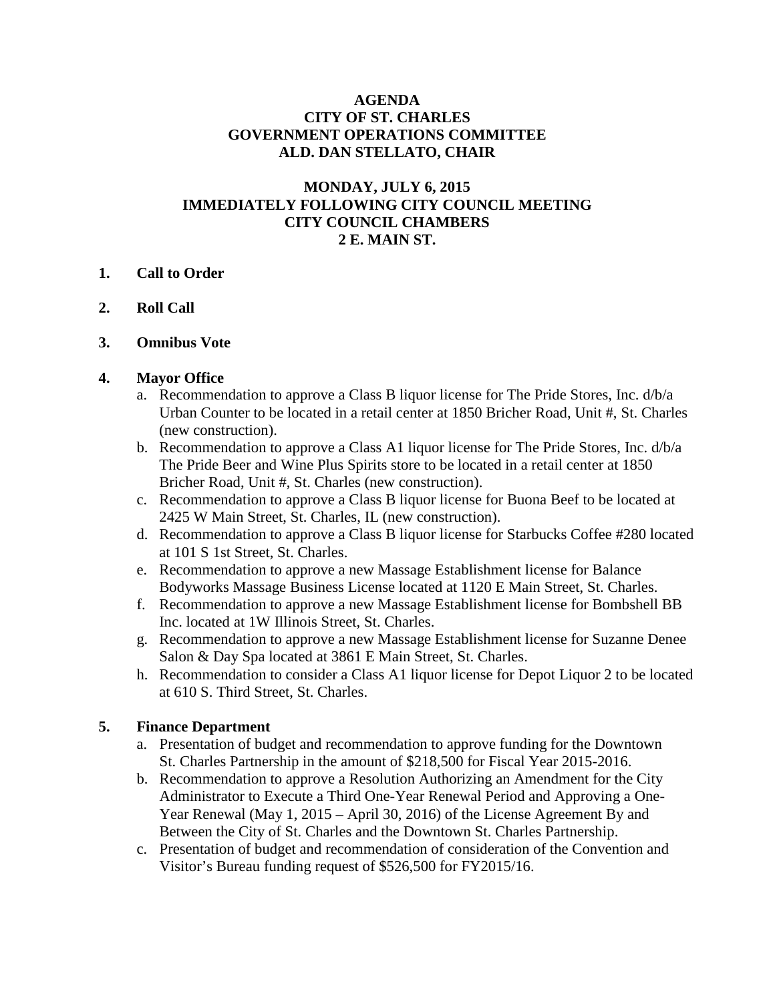## **AGENDA CITY OF ST. CHARLES GOVERNMENT OPERATIONS COMMITTEE ALD. DAN STELLATO, CHAIR**

## **MONDAY, JULY 6, 2015 IMMEDIATELY FOLLOWING CITY COUNCIL MEETING CITY COUNCIL CHAMBERS 2 E. MAIN ST.**

### **1. Call to Order**

- **2. Roll Call**
- **3. Omnibus Vote**

#### **4. Mayor Office**

- a. Recommendation to approve a Class B liquor license for The Pride Stores, Inc. d/b/a Urban Counter to be located in a retail center at 1850 Bricher Road, Unit #, St. Charles (new construction).
- b. Recommendation to approve a Class A1 liquor license for The Pride Stores, Inc. d/b/a The Pride Beer and Wine Plus Spirits store to be located in a retail center at 1850 Bricher Road, Unit #, St. Charles (new construction).
- c. Recommendation to approve a Class B liquor license for Buona Beef to be located at 2425 W Main Street, St. Charles, IL (new construction).
- d. Recommendation to approve a Class B liquor license for Starbucks Coffee #280 located at 101 S 1st Street, St. Charles.
- e. Recommendation to approve a new Massage Establishment license for Balance Bodyworks Massage Business License located at 1120 E Main Street, St. Charles.
- f. Recommendation to approve a new Massage Establishment license for Bombshell BB Inc. located at 1W Illinois Street, St. Charles.
- g. Recommendation to approve a new Massage Establishment license for Suzanne Denee Salon & Day Spa located at 3861 E Main Street, St. Charles.
- h. Recommendation to consider a Class A1 liquor license for Depot Liquor 2 to be located at 610 S. Third Street, St. Charles.

### **5. Finance Department**

- a. Presentation of budget and recommendation to approve funding for the Downtown St. Charles Partnership in the amount of \$218,500 for Fiscal Year 2015-2016.
- b. Recommendation to approve a Resolution Authorizing an Amendment for the City Administrator to Execute a Third One-Year Renewal Period and Approving a One-Year Renewal (May 1, 2015 – April 30, 2016) of the License Agreement By and Between the City of St. Charles and the Downtown St. Charles Partnership.
- c. Presentation of budget and recommendation of consideration of the Convention and Visitor's Bureau funding request of \$526,500 for FY2015/16.